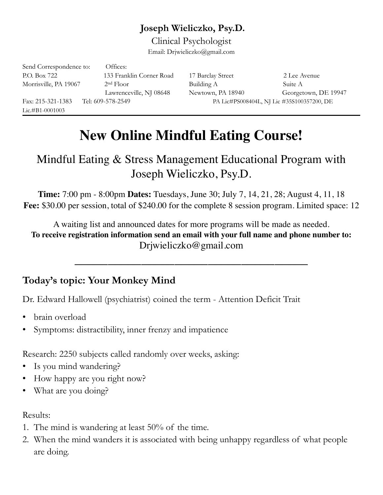## **Joseph Wieliczko, Psy.D.**

Clinical Psychologist Email: Drjwieliczko@gmail.com

| Send Correspondence to: | Offices:                 |                                            |                      |
|-------------------------|--------------------------|--------------------------------------------|----------------------|
| P.O. Box 722            | 133 Franklin Corner Road | 17 Barclay Street                          | 2 Lee Avenue         |
| Morrisville, PA 19067   | 2 <sup>nd</sup> Floor    | Building A                                 | Suite A              |
|                         | Lawrenceville, NJ 08648  | Newtown, PA 18940                          | Georgetown, DE 19947 |
| Fax: 215-321-1383       | Tel: 609-578-2549        | PA Lic#PS008404L, NJ Lic #35S100357200, DE |                      |
| $Lie. \#B1 - 0001003$   |                          |                                            |                      |

# **New Online Mindful Eating Course!**

# Mindful Eating & Stress Management Educational Program with Joseph Wieliczko, Psy.D.

**Time:** 7:00 pm - 8:00pm **Dates:** Tuesdays, June 30; July 7, 14, 21, 28; August 4, 11, 18 **Fee:** \$30.00 per session, total of \$240.00 for the complete 8 session program. Limited space: 12

A waiting list and announced dates for more programs will be made as needed. **To receive registration information send an email with your full name and phone number to:**  Drjwieliczko@gmail.com

 $\frac{1}{2}$  ,  $\frac{1}{2}$  ,  $\frac{1}{2}$  ,  $\frac{1}{2}$  ,  $\frac{1}{2}$  ,  $\frac{1}{2}$  ,  $\frac{1}{2}$  ,  $\frac{1}{2}$  ,  $\frac{1}{2}$  ,  $\frac{1}{2}$  ,  $\frac{1}{2}$  ,  $\frac{1}{2}$  ,  $\frac{1}{2}$  ,  $\frac{1}{2}$  ,  $\frac{1}{2}$  ,  $\frac{1}{2}$  ,  $\frac{1}{2}$  ,  $\frac{1}{2}$  ,  $\frac{1$ 

# **Today's topic: Your Monkey Mind**

Dr. Edward Hallowell (psychiatrist) coined the term - Attention Deficit Trait

- brain overload
- Symptoms: distractibility, inner frenzy and impatience

Research: 2250 subjects called randomly over weeks, asking:

- Is you mind wandering?
- How happy are you right now?
- What are you doing?

#### Results:

- 1. The mind is wandering at least 50% of the time.
- 2. When the mind wanders it is associated with being unhappy regardless of what people are doing.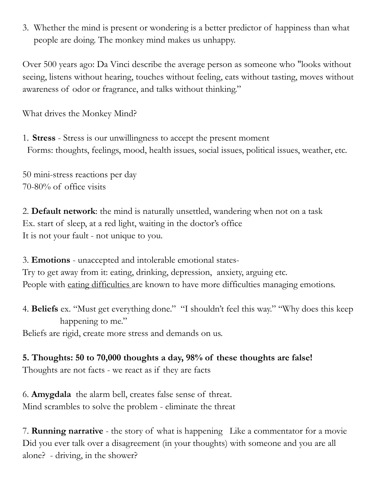3. Whether the mind is present or wondering is a better predictor of happiness than what people are doing. The monkey mind makes us unhappy.

Over 500 years ago: Da Vinci describe the average person as someone who "looks without seeing, listens without hearing, touches without feeling, eats without tasting, moves without awareness of odor or fragrance, and talks without thinking."

What drives the Monkey Mind?

1. **Stress** - Stress is our unwillingness to accept the present moment Forms: thoughts, feelings, mood, health issues, social issues, political issues, weather, etc.

50 mini-stress reactions per day 70-80% of office visits

2. **Default network**: the mind is naturally unsettled, wandering when not on a task Ex. start of sleep, at a red light, waiting in the doctor's office It is not your fault - not unique to you.

3. **Emotions** - unaccepted and intolerable emotional states-Try to get away from it: eating, drinking, depression, anxiety, arguing etc. People with eating difficulties are known to have more difficulties managing emotions.

4. **Beliefs** ex. "Must get everything done." "I shouldn't feel this way." "Why does this keep happening to me."

Beliefs are rigid, create more stress and demands on us.

**5. Thoughts: 50 to 70,000 thoughts a day, 98% of these thoughts are false!**  Thoughts are not facts - we react as if they are facts

6. **Amygdala** the alarm bell, creates false sense of threat. Mind scrambles to solve the problem - eliminate the threat

7. **Running narrative** - the story of what is happening Like a commentator for a movie Did you ever talk over a disagreement (in your thoughts) with someone and you are all alone? - driving, in the shower?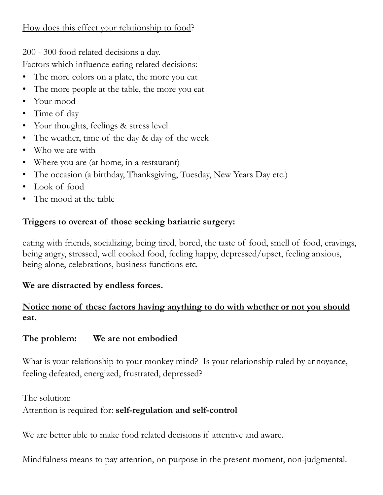#### How does this effect your relationship to food?

200 - 300 food related decisions a day.

Factors which influence eating related decisions:

- The more colors on a plate, the more you eat
- The more people at the table, the more you eat
- Your mood
- Time of day
- Your thoughts, feelings & stress level
- The weather, time of the day & day of the week
- Who we are with
- Where you are (at home, in a restaurant)
- The occasion (a birthday, Thanksgiving, Tuesday, New Years Day etc.)
- Look of food
- The mood at the table

#### **Triggers to overeat of those seeking bariatric surgery:**

eating with friends, socializing, being tired, bored, the taste of food, smell of food, cravings, being angry, stressed, well cooked food, feeling happy, depressed/upset, feeling anxious, being alone, celebrations, business functions etc.

#### **We are distracted by endless forces.**

### **Notice none of these factors having anything to do with whether or not you should eat.**

#### **The problem: We are not embodied**

What is your relationship to your monkey mind? Is your relationship ruled by annoyance, feeling defeated, energized, frustrated, depressed?

The solution:

#### Attention is required for: **self-regulation and self-control**

We are better able to make food related decisions if attentive and aware.

Mindfulness means to pay attention, on purpose in the present moment, non-judgmental.